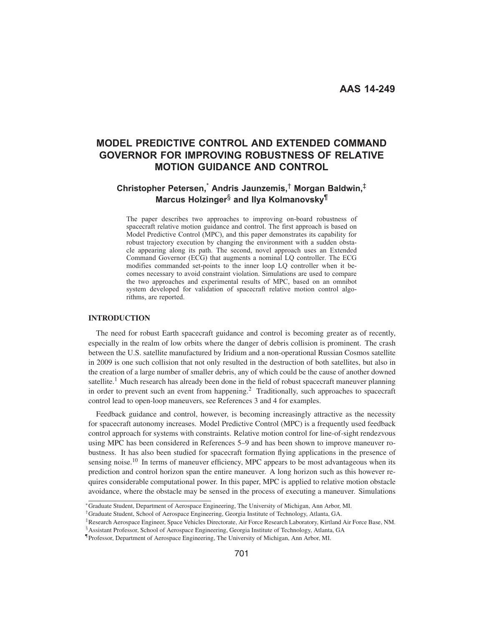# **MODEL PREDICTIVE CONTROL AND EXTENDED COMMAND GOVERNOR FOR IMPROVING ROBUSTNESS OF RELATIVE MOTION GUIDANCE AND CONTROL**

# **Christopher Petersen,**\* **Andris Jaunzemis,**† **Morgan Baldwin,**‡ **Marcus Holzinger**§ **and Ilya Kolmanovsky**¶

The paper describes two approaches to improving on-board robustness of spacecraft relative motion guidance and control. The first approach is based on Model Predictive Control (MPC), and this paper demonstrates its capability for robust trajectory execution by changing the environment with a sudden obstacle appearing along its path. The second, novel approach uses an Extended Command Governor (ECG) that augments a nominal LQ controller. The ECG modifies commanded set-points to the inner loop LQ controller when it becomes necessary to avoid constraint violation. Simulations are used to compare the two approaches and experimental results of MPC, based on an omnibot system developed for validation of spacecraft relative motion control algorithms, are reported.

# **INTRODUCTION**

The need for robust Earth spacecraft guidance and control is becoming greater as of recently, especially in the realm of low orbits where the danger of debris collision is prominent. The crash between the U.S. satellite manufactured by Iridium and a non-operational Russian Cosmos satellite in 2009 is one such collision that not only resulted in the destruction of both satellites, but also in the creation of a large number of smaller debris, any of which could be the cause of another downed satellite.<sup>1</sup> Much research has already been done in the field of robust spacecraft maneuver planning in order to prevent such an event from happening.<sup>2</sup> Traditionally, such approaches to spacecraft control lead to open-loop maneuvers, see References 3 and 4 for examples.

Feedback guidance and control, however, is becoming increasingly attractive as the necessity for spacecraft autonomy increases. Model Predictive Control (MPC) is a frequently used feedback control approach for systems with constraints. Relative motion control for line-of-sight rendezvous using MPC has been considered in References 5–9 and has been shown to improve maneuver robustness. It has also been studied for spacecraft formation flying applications in the presence of sensing noise.<sup>10</sup> In terms of maneuver efficiency, MPC appears to be most advantageous when its prediction and control horizon span the entire maneuver. A long horizon such as this however requires considerable computational power. In this paper, MPC is applied to relative motion obstacle avoidance, where the obstacle may be sensed in the process of executing a maneuver. Simulations

<sup>∗</sup>Graduate Student, Department of Aerospace Engineering, The University of Michigan, Ann Arbor, MI.

<sup>†</sup>Graduate Student, School of Aerospace Engineering, Georgia Institute of Technology, Atlanta, GA.

<sup>‡</sup>Research Aerospace Engineer, Space Vehicles Directorate, Air Force Research Laboratory, Kirtland Air Force Base, NM.

<sup>§</sup>Assistant Professor, School of Aerospace Engineering, Georgia Institute of Technology, Atlanta, GA

<sup>¶</sup>Professor, Department of Aerospace Engineering, The University of Michigan, Ann Arbor, MI.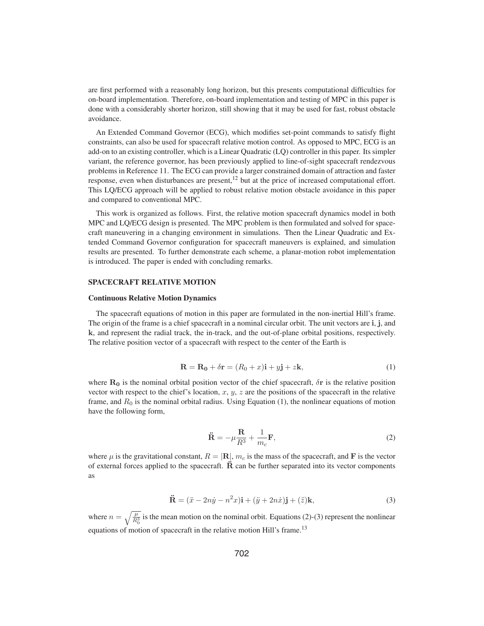are first performed with a reasonably long horizon, but this presents computational difficulties for on-board implementation. Therefore, on-board implementation and testing of MPC in this paper is done with a considerably shorter horizon, still showing that it may be used for fast, robust obstacle avoidance.

An Extended Command Governor (ECG), which modifies set-point commands to satisfy flight constraints, can also be used for spacecraft relative motion control. As opposed to MPC, ECG is an add-on to an existing controller, which is a Linear Quadratic (LQ) controller in this paper. Its simpler variant, the reference governor, has been previously applied to line-of-sight spacecraft rendezvous problems in Reference 11. The ECG can provide a larger constrained domain of attraction and faster response, even when disturbances are present, $^{12}$  but at the price of increased computational effort. This LQ/ECG approach will be applied to robust relative motion obstacle avoidance in this paper and compared to conventional MPC.

This work is organized as follows. First, the relative motion spacecraft dynamics model in both MPC and LQ/ECG design is presented. The MPC problem is then formulated and solved for spacecraft maneuvering in a changing environment in simulations. Then the Linear Quadratic and Extended Command Governor configuration for spacecraft maneuvers is explained, and simulation results are presented. To further demonstrate each scheme, a planar-motion robot implementation is introduced. The paper is ended with concluding remarks.

# SPACECRAFT RELATIVE MOTION

#### Continuous Relative Motion Dynamics

The spacecraft equations of motion in this paper are formulated in the non-inertial Hill's frame. The origin of the frame is a chief spacecraft in a nominal circular orbit. The unit vectors are **i**, **j**, and **k**, and represent the radial track, the in-track, and the out-of-plane orbital positions, respectively. The relative position vector of a spacecraft with respect to the center of the Earth is

$$
\mathbf{R} = \mathbf{R_0} + \delta \mathbf{r} = (R_0 + x)\mathbf{i} + y\mathbf{j} + z\mathbf{k},\tag{1}
$$

where  $\mathbf{R}_0$  is the nominal orbital position vector of the chief spacecraft,  $\delta \mathbf{r}$  is the relative position vector with respect to the chief's location,  $x, y, z$  are the positions of the spacecraft in the relative frame, and  $R_0$  is the nominal orbital radius. Using Equation (1), the nonlinear equations of motion have the following form,

$$
\ddot{\mathbf{R}} = -\mu \frac{\mathbf{R}}{R^3} + \frac{1}{m_c} \mathbf{F},\tag{2}
$$

where  $\mu$  is the gravitational constant,  $R = |\mathbf{R}|$ ,  $m_c$  is the mass of the spacecraft, and **F** is the vector of external forces applied to the spacecraft.  $\ddot{\textbf{R}}$  can be further separated into its vector components as

$$
\ddot{\mathbf{R}} = (\ddot{x} - 2n\dot{y} - n^2x)\mathbf{i} + (\ddot{y} + 2n\dot{x})\mathbf{j} + (\ddot{z})\mathbf{k},\tag{3}
$$

where  $n = \sqrt{\frac{\mu}{R_0^3}}$  is the mean motion on the nominal orbit. Equations (2)-(3) represent the nonlinear equations of motion of spacecraft in the relative motion Hill's frame.<sup>13</sup>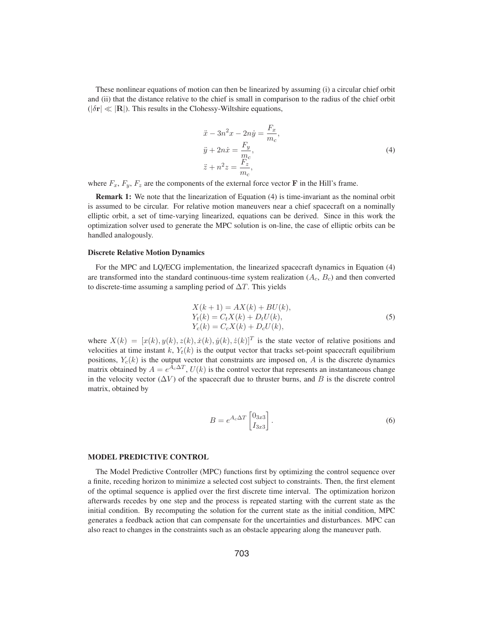These nonlinear equations of motion can then be linearized by assuming (i) a circular chief orbit and (ii) that the distance relative to the chief is small in comparison to the radius of the chief orbit  $(|\delta \mathbf{r}| \ll |\mathbf{R}|)$ . This results in the Clohessy-Wiltshire equations,

$$
\ddot{x} - 3n^2x - 2n\dot{y} = \frac{F_x}{m_c},
$$
  
\n
$$
\ddot{y} + 2n\dot{x} = \frac{F_y}{m_c},
$$
  
\n
$$
\ddot{z} + n^2z = \frac{F_z}{m_c},
$$
\n(4)

where  $F_x$ ,  $F_y$ ,  $F_z$  are the components of the external force vector **F** in the Hill's frame.

Remark 1: We note that the linearization of Equation (4) is time-invariant as the nominal orbit is assumed to be circular. For relative motion maneuvers near a chief spacecraft on a nominally elliptic orbit, a set of time-varying linearized, equations can be derived. Since in this work the optimization solver used to generate the MPC solution is on-line, the case of elliptic orbits can be handled analogously.

## Discrete Relative Motion Dynamics

For the MPC and LQ/ECG implementation, the linearized spacecraft dynamics in Equation (4) are transformed into the standard continuous-time system realization  $(A_c, B_c)$  and then converted to discrete-time assuming a sampling period of  $\Delta T$ . This yields

$$
X(k + 1) = AX(k) + BU(k),Yt(k) = CtX(k) + DtU(k),Yc(k) = CcX(k) + DcU(k),
$$
\n(5)

where  $X(k)=[x(k), y(k), z(k), \dot{x}(k), \dot{y}(k), \dot{z}(k)]^T$  is the state vector of relative positions and velocities at time instant k,  $Y_t(k)$  is the output vector that tracks set-point spacecraft equilibrium positions,  $Y_c(k)$  is the output vector that constraints are imposed on, A is the discrete dynamics matrix obtained by  $A = e^{A_c \Delta T}$ ,  $U(k)$  is the control vector that represents an instantaneous change in the velocity vector  $(\Delta V)$  of the spacecraft due to thruster burns, and B is the discrete control matrix, obtained by

$$
B = e^{A_c \Delta T} \begin{bmatrix} 0_{3x3} \\ I_{3x3} \end{bmatrix} . \tag{6}
$$

# MODEL PREDICTIVE CONTROL

The Model Predictive Controller (MPC) functions first by optimizing the control sequence over a finite, receding horizon to minimize a selected cost subject to constraints. Then, the first element of the optimal sequence is applied over the first discrete time interval. The optimization horizon afterwards recedes by one step and the process is repeated starting with the current state as the initial condition. By recomputing the solution for the current state as the initial condition, MPC generates a feedback action that can compensate for the uncertainties and disturbances. MPC can also react to changes in the constraints such as an obstacle appearing along the maneuver path.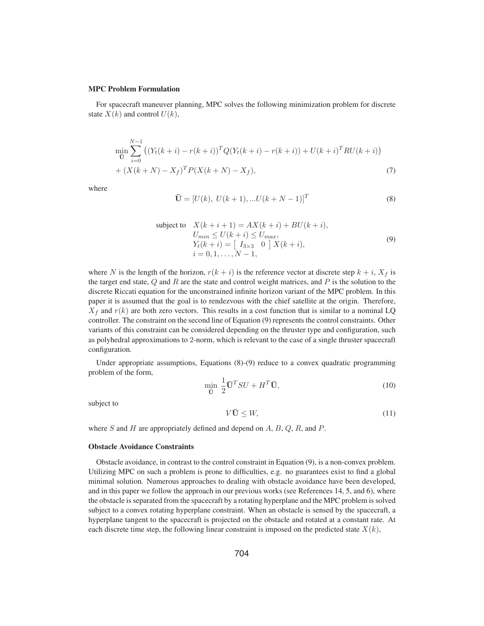#### MPC Problem Formulation

For spacecraft maneuver planning, MPC solves the following minimization problem for discrete state  $X(k)$  and control  $U(k)$ ,

$$
\min_{\overline{\mathbf{U}}} \sum_{i=0}^{N-1} \left( (Y_t(k+i) - r(k+i))^T Q (Y_t(k+i) - r(k+i)) + U(k+i)^T R U(k+i) \right) + (X(k+N) - X_f)^T P (X(k+N) - X_f),
$$
\n(7)

where

$$
\bar{\mathbf{U}} = [U(k), U(k+1), ...U(k+N-1)]^T
$$
\n(8)

subject to 
$$
X(k+i+1) = AX(k+i) + BU(k+i),
$$

$$
U_{min} \le U(k+i) \le U_{max},
$$

$$
Y_t(k+i) = \begin{bmatrix} I_{3\times 3} & 0 \end{bmatrix} X(k+i),
$$

$$
i = 0, 1, ..., N-1,
$$
 (9)

where N is the length of the horizon,  $r(k + i)$  is the reference vector at discrete step  $k + i$ ,  $X_f$  is the target end state,  $Q$  and  $R$  are the state and control weight matrices, and  $P$  is the solution to the discrete Riccati equation for the unconstrained infinite horizon variant of the MPC problem. In this paper it is assumed that the goal is to rendezvous with the chief satellite at the origin. Therefore,  $X_f$  and  $r(k)$  are both zero vectors. This results in a cost function that is similar to a nominal LQ controller. The constraint on the second line of Equation (9) represents the control constraints. Other variants of this constraint can be considered depending on the thruster type and configuration, such as polyhedral approximations to 2-norm, which is relevant to the case of a single thruster spacecraft configuration.

Under appropriate assumptions, Equations (8)-(9) reduce to a convex quadratic programming problem of the form,

$$
\min_{\mathbf{\bar{U}}} \frac{1}{2} \mathbf{\bar{U}}^T S U + H^T \mathbf{\bar{U}},\tag{10}
$$

subject to

$$
V\bar{\mathbf{U}} \leq W,\tag{11}
$$

where S and H are appropriately defined and depend on  $A$ ,  $B$ ,  $Q$ ,  $R$ , and  $P$ .

#### Obstacle Avoidance Constraints

Obstacle avoidance, in contrast to the control constraint in Equation (9), is a non-convex problem. Utilizing MPC on such a problem is prone to difficulties, e.g. no guarantees exist to find a global minimal solution. Numerous approaches to dealing with obstacle avoidance have been developed, and in this paper we follow the approach in our previous works (see References 14, 5, and 6), where the obstacle is separated from the spacecraft by a rotating hyperplane and the MPC problem is solved subject to a convex rotating hyperplane constraint. When an obstacle is sensed by the spacecraft, a hyperplane tangent to the spacecraft is projected on the obstacle and rotated at a constant rate. At each discrete time step, the following linear constraint is imposed on the predicted state  $X(k)$ ,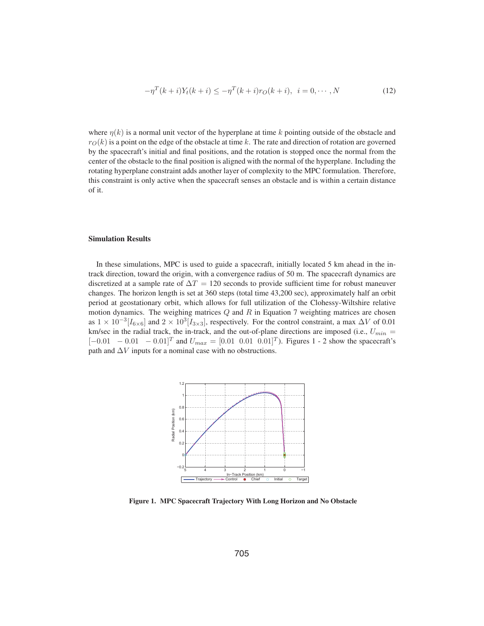$$
-\eta^{T}(k+i)Y_{t}(k+i) \le -\eta^{T}(k+i)r_{O}(k+i), \quad i = 0, \cdots, N
$$
\n(12)

where  $\eta(k)$  is a normal unit vector of the hyperplane at time k pointing outside of the obstacle and  $r_O(k)$  is a point on the edge of the obstacle at time k. The rate and direction of rotation are governed by the spacecraft's initial and final positions, and the rotation is stopped once the normal from the center of the obstacle to the final position is aligned with the normal of the hyperplane. Including the rotating hyperplane constraint adds another layer of complexity to the MPC formulation. Therefore, this constraint is only active when the spacecraft senses an obstacle and is within a certain distance of it.

# Simulation Results

In these simulations, MPC is used to guide a spacecraft, initially located 5 km ahead in the intrack direction, toward the origin, with a convergence radius of 50 m. The spacecraft dynamics are discretized at a sample rate of  $\Delta T = 120$  seconds to provide sufficient time for robust maneuver changes. The horizon length is set at 360 steps (total time 43,200 sec), approximately half an orbit period at geostationary orbit, which allows for full utilization of the Clohessy-Wiltshire relative motion dynamics. The weighing matrices  $Q$  and  $R$  in Equation 7 weighting matrices are chosen as  $1 \times 10^{-3} [I_{6 \times 6}]$  and  $2 \times 10^{3} [I_{3 \times 3}]$ , respectively. For the control constraint, a max  $\Delta V$  of 0.01 km/sec in the radial track, the in-track, and the out-of-plane directions are imposed (i.e.,  $U_{min}$  =  $[-0.01 \ -0.01 \ -0.01]^{T}$  and  $U_{max} = [0.01 \ 0.01 \ 0.01]^{T}$ . Figures 1 - 2 show the spacecraft's path and  $\Delta V$  inputs for a nominal case with no obstructions.



Figure 1. MPC Spacecraft Trajectory With Long Horizon and No Obstacle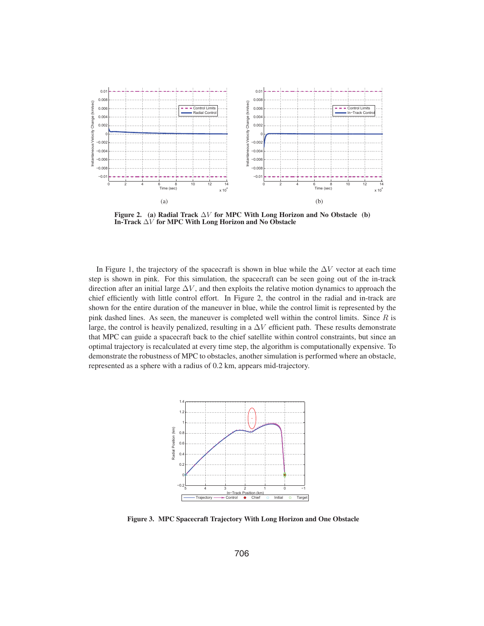

Figure 2. (a) Radial Track  $\Delta V$  for MPC With Long Horizon and No Obstacle (b) In-Track  $\Delta V$  for MPC With Long Horizon and No Obstacle

In Figure 1, the trajectory of the spacecraft is shown in blue while the  $\Delta V$  vector at each time step is shown in pink. For this simulation, the spacecraft can be seen going out of the in-track direction after an initial large  $\Delta V$ , and then exploits the relative motion dynamics to approach the chief efficiently with little control effort. In Figure 2, the control in the radial and in-track are shown for the entire duration of the maneuver in blue, while the control limit is represented by the pink dashed lines. As seen, the maneuver is completed well within the control limits. Since  $R$  is large, the control is heavily penalized, resulting in a  $\Delta V$  efficient path. These results demonstrate that MPC can guide a spacecraft back to the chief satellite within control constraints, but since an optimal trajectory is recalculated at every time step, the algorithm is computationally expensive. To demonstrate the robustness of MPC to obstacles, another simulation is performed where an obstacle, represented as a sphere with a radius of 0.2 km, appears mid-trajectory.



Figure 3. MPC Spacecraft Trajectory With Long Horizon and One Obstacle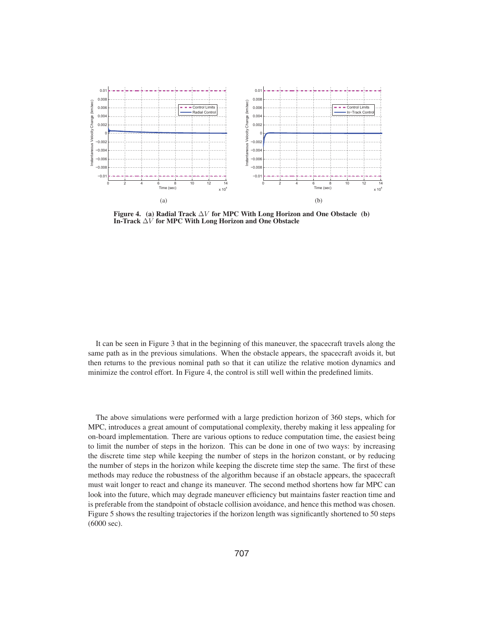

Figure 4. (a) Radial Track  $\Delta V$  for MPC With Long Horizon and One Obstacle (b) In-Track  $\Delta V$  for MPC With Long Horizon and One Obstacle

It can be seen in Figure 3 that in the beginning of this maneuver, the spacecraft travels along the same path as in the previous simulations. When the obstacle appears, the spacecraft avoids it, but then returns to the previous nominal path so that it can utilize the relative motion dynamics and minimize the control effort. In Figure 4, the control is still well within the predefined limits.

The above simulations were performed with a large prediction horizon of 360 steps, which for MPC, introduces a great amount of computational complexity, thereby making it less appealing for on-board implementation. There are various options to reduce computation time, the easiest being to limit the number of steps in the horizon. This can be done in one of two ways: by increasing the discrete time step while keeping the number of steps in the horizon constant, or by reducing the number of steps in the horizon while keeping the discrete time step the same. The first of these methods may reduce the robustness of the algorithm because if an obstacle appears, the spacecraft must wait longer to react and change its maneuver. The second method shortens how far MPC can look into the future, which may degrade maneuver efficiency but maintains faster reaction time and is preferable from the standpoint of obstacle collision avoidance, and hence this method was chosen. Figure 5 shows the resulting trajectories if the horizon length was significantly shortened to 50 steps (6000 sec).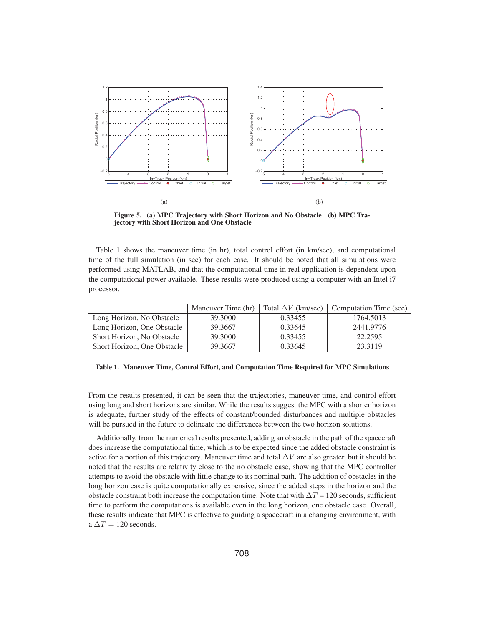

Figure 5. (a) MPC Trajectory with Short Horizon and No Obstacle (b) MPC Trajectory with Short Horizon and One Obstacle

Table 1 shows the maneuver time (in hr), total control effort (in km/sec), and computational time of the full simulation (in sec) for each case. It should be noted that all simulations were performed using MATLAB, and that the computational time in real application is dependent upon the computational power available. These results were produced using a computer with an Intel i7 processor.

|                             | Maneuver Time $(hr)$ | Total $\Delta V$ (km/sec) | Computation Time (sec) |
|-----------------------------|----------------------|---------------------------|------------------------|
| Long Horizon, No Obstacle   | 39,3000              | 0.33455                   | 1764.5013              |
| Long Horizon, One Obstacle  | 39.3667              | 0.33645                   | 2441.9776              |
| Short Horizon, No Obstacle  | 39,3000              | 0.33455                   | 22.2595                |
| Short Horizon, One Obstacle | 39.3667              | 0.33645                   | 23.3119                |

Table 1. Maneuver Time, Control Effort, and Computation Time Required for MPC Simulations

From the results presented, it can be seen that the trajectories, maneuver time, and control effort using long and short horizons are similar. While the results suggest the MPC with a shorter horizon is adequate, further study of the effects of constant/bounded disturbances and multiple obstacles will be pursued in the future to delineate the differences between the two horizon solutions.

Additionally, from the numerical results presented, adding an obstacle in the path of the spacecraft does increase the computational time, which is to be expected since the added obstacle constraint is active for a portion of this trajectory. Maneuver time and total  $\Delta V$  are also greater, but it should be noted that the results are relativity close to the no obstacle case, showing that the MPC controller attempts to avoid the obstacle with little change to its nominal path. The addition of obstacles in the long horizon case is quite computationally expensive, since the added steps in the horizon and the obstacle constraint both increase the computation time. Note that with  $\Delta T = 120$  seconds, sufficient time to perform the computations is available even in the long horizon, one obstacle case. Overall, these results indicate that MPC is effective to guiding a spacecraft in a changing environment, with a  $\Delta T = 120$  seconds.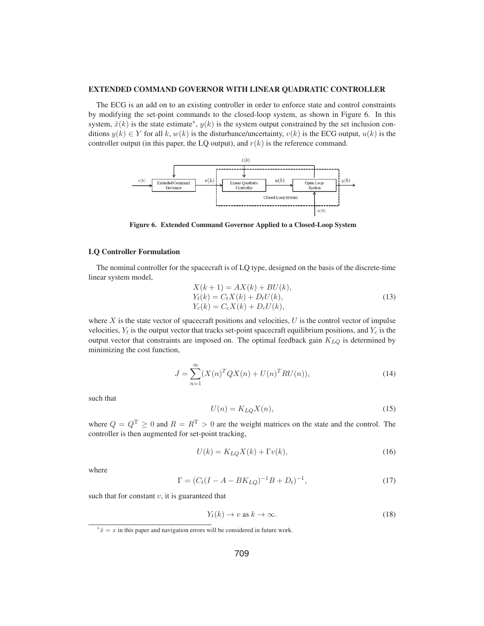#### EXTENDED COMMAND GOVERNOR WITH LINEAR QUADRATIC CONTROLLER

The ECG is an add on to an existing controller in order to enforce state and control constraints by modifying the set-point commands to the closed-loop system, as shown in Figure 6. In this system,  $\hat{x}(k)$  is the state estimate<sup>\*</sup>,  $y(k)$  is the system output constrained by the set inclusion conditions  $y(k) \in Y$  for all k,  $w(k)$  is the disturbance/uncertainty,  $v(k)$  is the ECG output,  $u(k)$  is the controller output (in this paper, the LQ output), and  $r(k)$  is the reference command.



Figure 6. Extended Command Governor Applied to a Closed-Loop System

# LQ Controller Formulation

The nominal controller for the spacecraft is of LQ type, designed on the basis of the discrete-time linear system model,

$$
X(k + 1) = AX(k) + BU(k),Yt(k) = CtX(k) + DtU(k),Yc(k) = CcX(k) + DcU(k),
$$
\n(13)

where  $X$  is the state vector of spacecraft positions and velocities,  $U$  is the control vector of impulse velocities,  $Y_t$  is the output vector that tracks set-point spacecraft equilibrium positions, and  $Y_c$  is the output vector that constraints are imposed on. The optimal feedback gain  $K_{LQ}$  is determined by minimizing the cost function,

$$
J = \sum_{n=1}^{\infty} (X(n)^T Q X(n) + U(n)^T R U(n)),
$$
\n(14)

such that

$$
U(n) = K_{LQ} X(n),\tag{15}
$$

where  $Q = Q^T \ge 0$  and  $R = R^T > 0$  are the weight matrices on the state and the control. The controller is then augmented for set-point tracking,

$$
U(k) = K_{LQ}X(k) + \Gamma v(k),\tag{16}
$$

where

$$
\Gamma = (C_t(I - A - BK_{LQ})^{-1}B + D_t)^{-1},\tag{17}
$$

such that for constant  $v$ , it is guaranteed that

$$
Y_t(k) \to v \text{ as } k \to \infty. \tag{18}
$$

<sup>\*</sup> $\hat{x} = x$  in this paper and navigation errors will be considered in future work.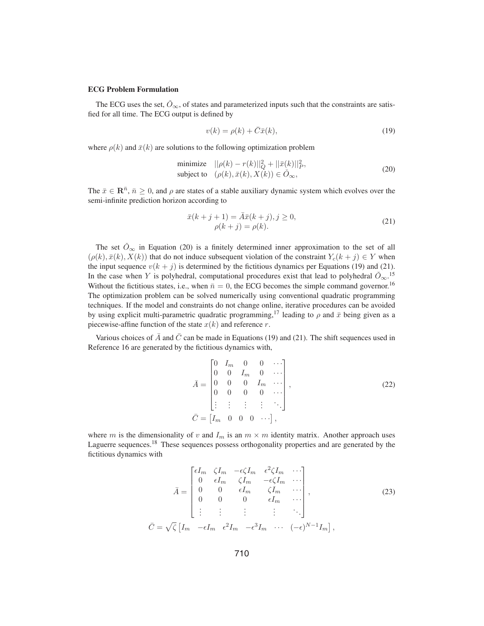### ECG Problem Formulation

The ECG uses the set,  $\check{O}_{\infty}$ , of states and parameterized inputs such that the constraints are satisfied for all time. The ECG output is defined by

$$
v(k) = \rho(k) + \bar{C}\bar{x}(k),\tag{19}
$$

where  $\rho(k)$  and  $\bar{x}(k)$  are solutions to the following optimization problem

$$
\text{minimize} \quad ||\rho(k) - r(k)||_Q^2 + ||\bar{x}(k)||_P^2, \\
 \text{subject to} \quad (\rho(k), \bar{x}(k), X(k)) \in \check{O}_{\infty},\n\tag{20}
$$

The  $\bar{x} \in \mathbb{R}^{\bar{n}}$ ,  $\bar{n} \ge 0$ , and  $\rho$  are states of a stable auxiliary dynamic system which evolves over the semi-infinite prediction horizon according to

$$
\bar{x}(k+j+1) = \bar{A}\bar{x}(k+j), j \ge 0,\n\rho(k+j) = \rho(k).
$$
\n(21)

The set  $\check{O}_{\infty}$  in Equation (20) is a finitely determined inner approximation to the set of all  $(\rho(k), \bar{x}(k), X(k))$  that do not induce subsequent violation of the constraint  $Y_c(k + j) \in Y$  when the input sequence  $v(k + j)$  is determined by the fictitious dynamics per Equations (19) and (21). In the case when Y is polyhedral, computational procedures exist that lead to polyhedral  $\check{O}_{\infty}$ .<sup>15</sup> Without the fictitious states, i.e., when  $\bar{n}=0$ , the ECG becomes the simple command governor.<sup>16</sup> The optimization problem can be solved numerically using conventional quadratic programming techniques. If the model and constraints do not change online, iterative procedures can be avoided by using explicit multi-parametric quadratic programming,<sup>17</sup> leading to  $\rho$  and  $\bar{x}$  being given as a piecewise-affine function of the state  $x(k)$  and reference r.

Various choices of  $\bar{A}$  and  $\bar{C}$  can be made in Equations (19) and (21). The shift sequences used in Reference 16 are generated by the fictitious dynamics with,

$$
\bar{A} = \begin{bmatrix}\n0 & I_m & 0 & 0 & \cdots \\
0 & 0 & I_m & 0 & \cdots \\
0 & 0 & 0 & I_m & \cdots \\
0 & 0 & 0 & 0 & \cdots \\
\vdots & \vdots & \vdots & \vdots & \ddots\n\end{bmatrix},
$$
\n(22)\n
$$
\bar{C} = \begin{bmatrix}I_m & 0 & 0 & 0 & \cdots \end{bmatrix},
$$

where m is the dimensionality of v and  $I_m$  is an  $m \times m$  identity matrix. Another approach uses Laguerre sequences.<sup>18</sup> These sequences possess orthogonality properties and are generated by the fictitious dynamics with

$$
\bar{A} = \begin{bmatrix}\n\epsilon I_m & \zeta I_m & -\epsilon \zeta I_m & \epsilon^2 \zeta I_m & \cdots \\
0 & \epsilon I_m & \zeta I_m & -\epsilon \zeta I_m & \cdots \\
0 & 0 & \epsilon I_m & \zeta I_m & \cdots \\
0 & 0 & 0 & \epsilon I_m & \cdots \\
\vdots & \vdots & \vdots & \vdots & \ddots\n\end{bmatrix},
$$
\n(23)\n
$$
\bar{C} = \sqrt{\zeta} \begin{bmatrix} I_m & -\epsilon I_m & \epsilon^2 I_m & -\epsilon^3 I_m & \cdots & (-\epsilon)^{N-1} I_m \end{bmatrix},
$$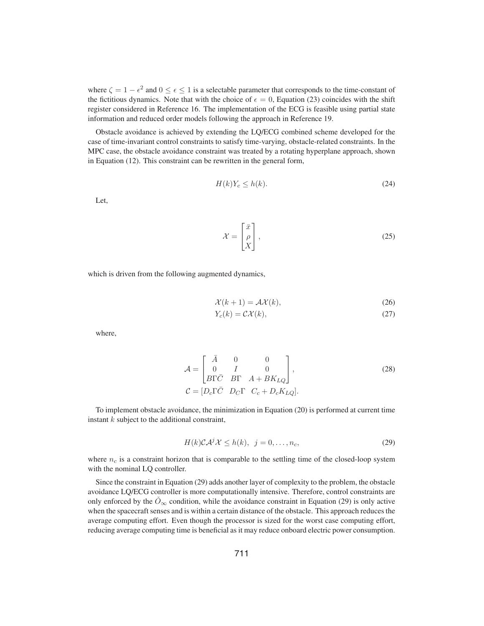where  $\zeta = 1 - \epsilon^2$  and  $0 \le \epsilon \le 1$  is a selectable parameter that corresponds to the time-constant of the fictitious dynamics. Note that with the choice of  $\epsilon = 0$ , Equation (23) coincides with the shift register considered in Reference 16. The implementation of the ECG is feasible using partial state information and reduced order models following the approach in Reference 19.

Obstacle avoidance is achieved by extending the LQ/ECG combined scheme developed for the case of time-invariant control constraints to satisfy time-varying, obstacle-related constraints. In the MPC case, the obstacle avoidance constraint was treated by a rotating hyperplane approach, shown in Equation (12). This constraint can be rewritten in the general form,

$$
H(k)Y_c \le h(k). \tag{24}
$$

Let,

$$
\mathcal{X} = \begin{bmatrix} \bar{x} \\ \rho \\ X \end{bmatrix},\tag{25}
$$

which is driven from the following augmented dynamics,

$$
\mathcal{X}(k+1) = \mathcal{A}\mathcal{X}(k),\tag{26}
$$

$$
Y_c(k) = \mathcal{C}\mathcal{X}(k),\tag{27}
$$

where,

$$
\mathcal{A} = \begin{bmatrix} \bar{A} & 0 & 0 \\ 0 & I & 0 \\ B\Gamma\bar{C} & B\Gamma & A + BK_{LQ} \end{bmatrix},
$$
  
\n
$$
\mathcal{C} = [D_c\Gamma\bar{C} \ D_C\Gamma \ C_c + D_cK_{LQ}].
$$
\n(28)

To implement obstacle avoidance, the minimization in Equation (20) is performed at current time instant  $k$  subject to the additional constraint,

$$
H(k)\mathcal{CA}^{j}\mathcal{X} \leq h(k), \ \ j=0,\ldots,n_c,
$$
\n(29)

where  $n_c$  is a constraint horizon that is comparable to the settling time of the closed-loop system with the nominal LQ controller.

Since the constraint in Equation (29) adds another layer of complexity to the problem, the obstacle avoidance LQ/ECG controller is more computationally intensive. Therefore, control constraints are only enforced by the  $\hat{O}_{\infty}$  condition, while the avoidance constraint in Equation (29) is only active when the spacecraft senses and is within a certain distance of the obstacle. This approach reduces the average computing effort. Even though the processor is sized for the worst case computing effort, reducing average computing time is beneficial as it may reduce onboard electric power consumption.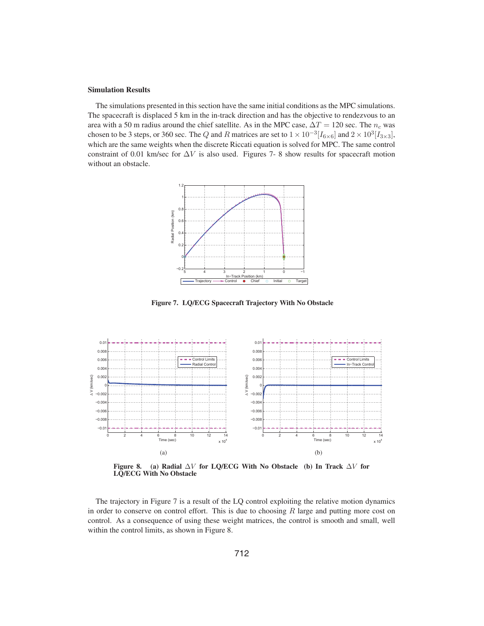#### Simulation Results

The simulations presented in this section have the same initial conditions as the MPC simulations. The spacecraft is displaced 5 km in the in-track direction and has the objective to rendezvous to an area with a 50 m radius around the chief satellite. As in the MPC case,  $\Delta T = 120$  sec. The  $n_c$  was chosen to be 3 steps, or 360 sec. The Q and R matrices are set to  $1 \times 10^{-3} [I_{6 \times 6}]$  and  $2 \times 10^3 [I_{3 \times 3}]$ , which are the same weights when the discrete Riccati equation is solved for MPC. The same control constraint of 0.01 km/sec for  $\Delta V$  is also used. Figures 7- 8 show results for spacecraft motion without an obstacle.



Figure 7. LQ/ECG Spacecraft Trajectory With No Obstacle



Figure 8. (a) Radial  $\Delta V$  for LQ/ECG With No Obstacle (b) In Track  $\Delta V$  for LQ/ECG With No Obstacle

The trajectory in Figure 7 is a result of the LQ control exploiting the relative motion dynamics in order to conserve on control effort. This is due to choosing  $R$  large and putting more cost on control. As a consequence of using these weight matrices, the control is smooth and small, well within the control limits, as shown in Figure 8.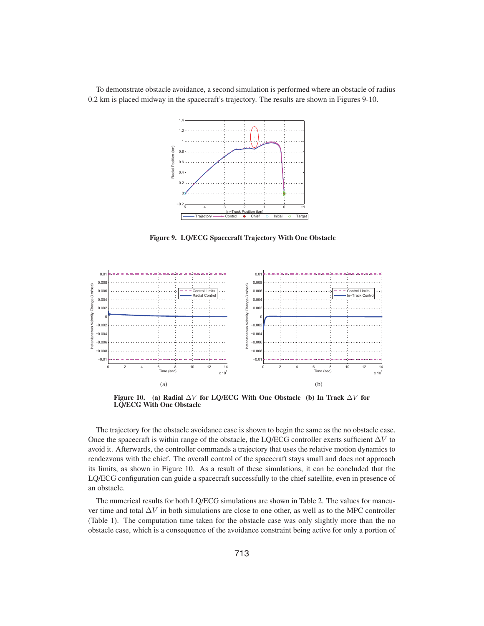To demonstrate obstacle avoidance, a second simulation is performed where an obstacle of radius 0.2 km is placed midway in the spacecraft's trajectory. The results are shown in Figures 9-10.



Figure 9. LQ/ECG Spacecraft Trajectory With One Obstacle



Figure 10. (a) Radial  $\Delta V$  for LQ/ECG With One Obstacle (b) In Track  $\Delta V$  for LQ/ECG With One Obstacle

The trajectory for the obstacle avoidance case is shown to begin the same as the no obstacle case. Once the spacecraft is within range of the obstacle, the LQ/ECG controller exerts sufficient  $\Delta V$  to avoid it. Afterwards, the controller commands a trajectory that uses the relative motion dynamics to rendezvous with the chief. The overall control of the spacecraft stays small and does not approach its limits, as shown in Figure 10. As a result of these simulations, it can be concluded that the LQ/ECG configuration can guide a spacecraft successfully to the chief satellite, even in presence of an obstacle.

The numerical results for both LQ/ECG simulations are shown in Table 2. The values for maneuver time and total  $\Delta V$  in both simulations are close to one other, as well as to the MPC controller (Table 1). The computation time taken for the obstacle case was only slightly more than the no obstacle case, which is a consequence of the avoidance constraint being active for only a portion of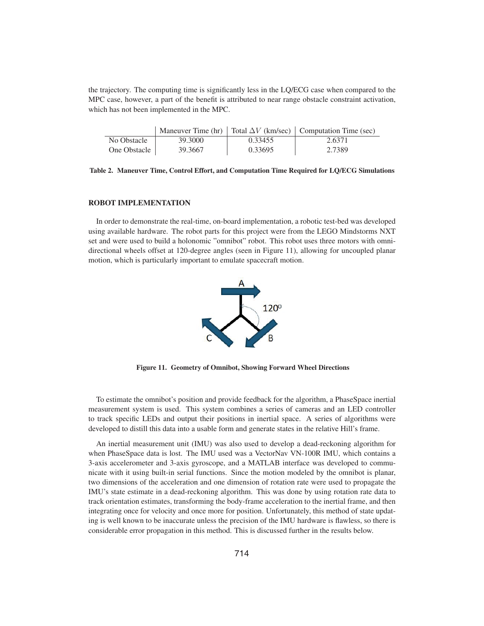the trajectory. The computing time is significantly less in the LQ/ECG case when compared to the MPC case, however, a part of the benefit is attributed to near range obstacle constraint activation, which has not been implemented in the MPC.

|              |         |         | Maneuver Time (hr) $\vert$ Total $\Delta V$ (km/sec) $\vert$ Computation Time (sec) |
|--------------|---------|---------|-------------------------------------------------------------------------------------|
| No Obstacle  | 39.3000 | 0.33455 | 2.6371                                                                              |
| One Obstacle | 39.3667 | 0.33695 | 2.7389                                                                              |

Table 2. Maneuver Time, Control Effort, and Computation Time Required for LQ/ECG Simulations

## ROBOT IMPLEMENTATION

In order to demonstrate the real-time, on-board implementation, a robotic test-bed was developed using available hardware. The robot parts for this project were from the LEGO Mindstorms NXT set and were used to build a holonomic "omnibot" robot. This robot uses three motors with omnidirectional wheels offset at 120-degree angles (seen in Figure 11), allowing for uncoupled planar motion, which is particularly important to emulate spacecraft motion.



Figure 11. Geometry of Omnibot, Showing Forward Wheel Directions

To estimate the omnibot's position and provide feedback for the algorithm, a PhaseSpace inertial measurement system is used. This system combines a series of cameras and an LED controller to track specific LEDs and output their positions in inertial space. A series of algorithms were developed to distill this data into a usable form and generate states in the relative Hill's frame.

An inertial measurement unit (IMU) was also used to develop a dead-reckoning algorithm for when PhaseSpace data is lost. The IMU used was a VectorNav VN-100R IMU, which contains a 3-axis accelerometer and 3-axis gyroscope, and a MATLAB interface was developed to communicate with it using built-in serial functions. Since the motion modeled by the omnibot is planar, two dimensions of the acceleration and one dimension of rotation rate were used to propagate the IMU's state estimate in a dead-reckoning algorithm. This was done by using rotation rate data to track orientation estimates, transforming the body-frame acceleration to the inertial frame, and then integrating once for velocity and once more for position. Unfortunately, this method of state updating is well known to be inaccurate unless the precision of the IMU hardware is flawless, so there is considerable error propagation in this method. This is discussed further in the results below.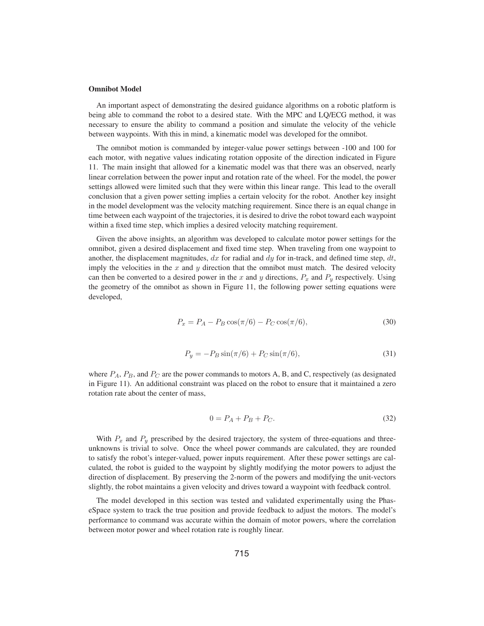#### Omnibot Model

An important aspect of demonstrating the desired guidance algorithms on a robotic platform is being able to command the robot to a desired state. With the MPC and LQ/ECG method, it was necessary to ensure the ability to command a position and simulate the velocity of the vehicle between waypoints. With this in mind, a kinematic model was developed for the omnibot.

The omnibot motion is commanded by integer-value power settings between -100 and 100 for each motor, with negative values indicating rotation opposite of the direction indicated in Figure 11. The main insight that allowed for a kinematic model was that there was an observed, nearly linear correlation between the power input and rotation rate of the wheel. For the model, the power settings allowed were limited such that they were within this linear range. This lead to the overall conclusion that a given power setting implies a certain velocity for the robot. Another key insight in the model development was the velocity matching requirement. Since there is an equal change in time between each waypoint of the trajectories, it is desired to drive the robot toward each waypoint within a fixed time step, which implies a desired velocity matching requirement.

Given the above insights, an algorithm was developed to calculate motor power settings for the omnibot, given a desired displacement and fixed time step. When traveling from one waypoint to another, the displacement magnitudes, dx for radial and dy for in-track, and defined time step, dt, imply the velocities in the  $x$  and  $y$  direction that the omnibot must match. The desired velocity can then be converted to a desired power in the x and y directions,  $P_x$  and  $P_y$  respectively. Using the geometry of the omnibot as shown in Figure 11, the following power setting equations were developed,

$$
P_x = P_A - P_B \cos(\pi/6) - P_C \cos(\pi/6),\tag{30}
$$

$$
P_y = -P_B \sin(\pi/6) + P_C \sin(\pi/6),\tag{31}
$$

where  $P_A$ ,  $P_B$ , and  $P_C$  are the power commands to motors A, B, and C, respectively (as designated in Figure 11). An additional constraint was placed on the robot to ensure that it maintained a zero rotation rate about the center of mass,

$$
0 = P_A + P_B + P_C.
$$
 (32)

With  $P_x$  and  $P_y$  prescribed by the desired trajectory, the system of three-equations and threeunknowns is trivial to solve. Once the wheel power commands are calculated, they are rounded to satisfy the robot's integer-valued, power inputs requirement. After these power settings are calculated, the robot is guided to the waypoint by slightly modifying the motor powers to adjust the direction of displacement. By preserving the 2-norm of the powers and modifying the unit-vectors slightly, the robot maintains a given velocity and drives toward a waypoint with feedback control.

The model developed in this section was tested and validated experimentally using the PhaseSpace system to track the true position and provide feedback to adjust the motors. The model's performance to command was accurate within the domain of motor powers, where the correlation between motor power and wheel rotation rate is roughly linear.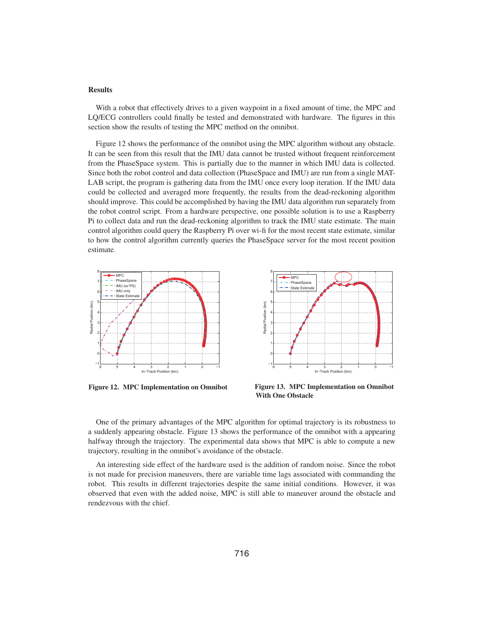# **Results**

With a robot that effectively drives to a given waypoint in a fixed amount of time, the MPC and LQ/ECG controllers could finally be tested and demonstrated with hardware. The figures in this section show the results of testing the MPC method on the omnibot.

Figure 12 shows the performance of the omnibot using the MPC algorithm without any obstacle. It can be seen from this result that the IMU data cannot be trusted without frequent reinforcement from the PhaseSpace system. This is partially due to the manner in which IMU data is collected. Since both the robot control and data collection (PhaseSpace and IMU) are run from a single MAT-LAB script, the program is gathering data from the IMU once every loop iteration. If the IMU data could be collected and averaged more frequently, the results from the dead-reckoning algorithm should improve. This could be accomplished by having the IMU data algorithm run separately from the robot control script. From a hardware perspective, one possible solution is to use a Raspberry Pi to collect data and run the dead-reckoning algorithm to track the IMU state estimate. The main control algorithm could query the Raspberry Pi over wi-fi for the most recent state estimate, similar to how the control algorithm currently queries the PhaseSpace server for the most recent position estimate.



Figure 12. MPC Implementation on Omnibot



Figure 13. MPC Implementation on Omnibot With One Obstacle

One of the primary advantages of the MPC algorithm for optimal trajectory is its robustness to a suddenly appearing obstacle. Figure 13 shows the performance of the omnibot with a appearing halfway through the trajectory. The experimental data shows that MPC is able to compute a new trajectory, resulting in the omnibot's avoidance of the obstacle.

An interesting side effect of the hardware used is the addition of random noise. Since the robot is not made for precision maneuvers, there are variable time lags associated with commanding the robot. This results in different trajectories despite the same initial conditions. However, it was observed that even with the added noise, MPC is still able to maneuver around the obstacle and rendezvous with the chief.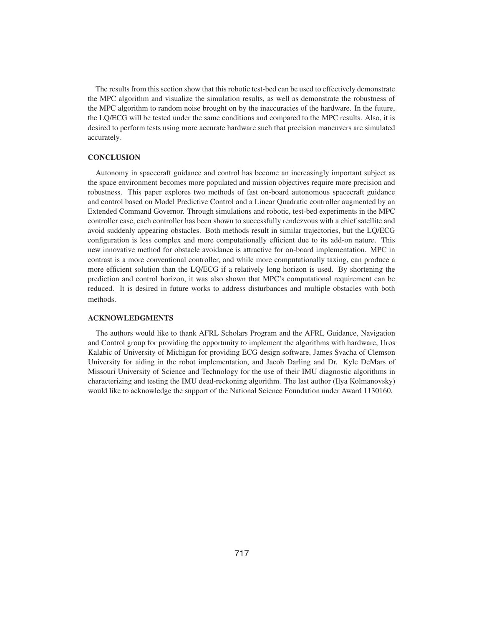The results from this section show that this robotic test-bed can be used to effectively demonstrate the MPC algorithm and visualize the simulation results, as well as demonstrate the robustness of the MPC algorithm to random noise brought on by the inaccuracies of the hardware. In the future, the LQ/ECG will be tested under the same conditions and compared to the MPC results. Also, it is desired to perform tests using more accurate hardware such that precision maneuvers are simulated accurately.

# **CONCLUSION**

Autonomy in spacecraft guidance and control has become an increasingly important subject as the space environment becomes more populated and mission objectives require more precision and robustness. This paper explores two methods of fast on-board autonomous spacecraft guidance and control based on Model Predictive Control and a Linear Quadratic controller augmented by an Extended Command Governor. Through simulations and robotic, test-bed experiments in the MPC controller case, each controller has been shown to successfully rendezvous with a chief satellite and avoid suddenly appearing obstacles. Both methods result in similar trajectories, but the LQ/ECG configuration is less complex and more computationally efficient due to its add-on nature. This new innovative method for obstacle avoidance is attractive for on-board implementation. MPC in contrast is a more conventional controller, and while more computationally taxing, can produce a more efficient solution than the LQ/ECG if a relatively long horizon is used. By shortening the prediction and control horizon, it was also shown that MPC's computational requirement can be reduced. It is desired in future works to address disturbances and multiple obstacles with both methods.

# ACKNOWLEDGMENTS

The authors would like to thank AFRL Scholars Program and the AFRL Guidance, Navigation and Control group for providing the opportunity to implement the algorithms with hardware, Uros Kalabic of University of Michigan for providing ECG design software, James Svacha of Clemson University for aiding in the robot implementation, and Jacob Darling and Dr. Kyle DeMars of Missouri University of Science and Technology for the use of their IMU diagnostic algorithms in characterizing and testing the IMU dead-reckoning algorithm. The last author (Ilya Kolmanovsky) would like to acknowledge the support of the National Science Foundation under Award 1130160.